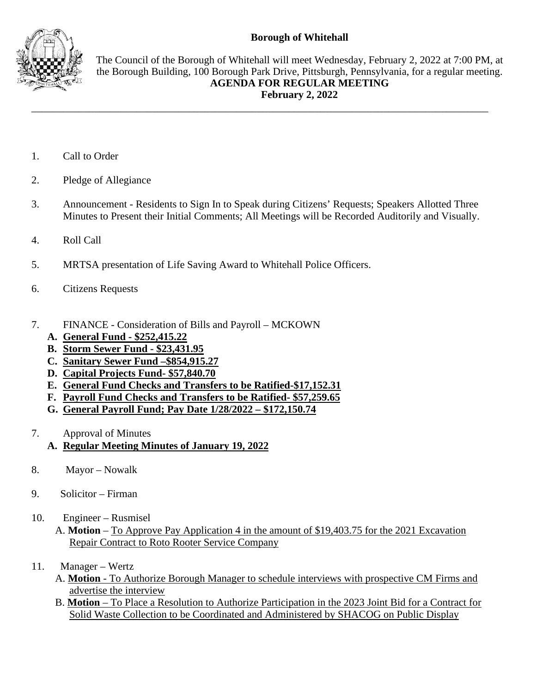## **Borough of Whitehall**



The Council of the Borough of Whitehall will meet Wednesday, February 2, 2022 at 7:00 PM, at the Borough Building, 100 Borough Park Drive, Pittsburgh, Pennsylvania, for a regular meeting. **AGENDA FOR REGULAR MEETING February 2, 2022**

- 1. Call to Order
- 2. Pledge of Allegiance
- 3. Announcement Residents to Sign In to Speak during Citizens' Requests; Speakers Allotted Three Minutes to Present their Initial Comments; All Meetings will be Recorded Auditorily and Visually.

\_\_\_\_\_\_\_\_\_\_\_\_\_\_\_\_\_\_\_\_\_\_\_\_\_\_\_\_\_\_\_\_\_\_\_\_\_\_\_\_\_\_\_\_\_\_\_\_\_\_\_\_\_\_\_\_\_\_\_\_\_\_\_\_\_\_\_\_\_\_\_\_\_\_\_\_\_\_\_\_\_\_\_\_\_\_\_

- 4. Roll Call
- 5. MRTSA presentation of Life Saving Award to Whitehall Police Officers.
- 6. Citizens Requests
- 7. FINANCE Consideration of Bills and Payroll MCKOWN
	- **A. General Fund - \$252,415.22**
	- **B. Storm Sewer Fund - \$23,431.95**
	- **C. Sanitary Sewer Fund –\$854,915.27**
	- **D. Capital Projects Fund- \$57,840.70**
	- **E. General Fund Checks and Transfers to be Ratified-\$17,152.31**
	- **F. Payroll Fund Checks and Transfers to be Ratified- \$57,259.65**
	- **G. General Payroll Fund; Pay Date 1/28/2022 – \$172,150.74**
- 7. Approval of Minutes
	- **A. Regular Meeting Minutes of January 19, 2022**
- 8. Mayor Nowalk
- 9. Solicitor Firman
- 10. Engineer Rusmisel
	- A. **Motion** To Approve Pay Application 4 in the amount of \$19,403.75 for the 2021 Excavation Repair Contract to Roto Rooter Service Company
- 11. Manager Wertz
	- A. **Motion** To Authorize Borough Manager to schedule interviews with prospective CM Firms and advertise the interview
	- B. **Motion** To Place a Resolution to Authorize Participation in the 2023 Joint Bid for a Contract for Solid Waste Collection to be Coordinated and Administered by SHACOG on Public Display